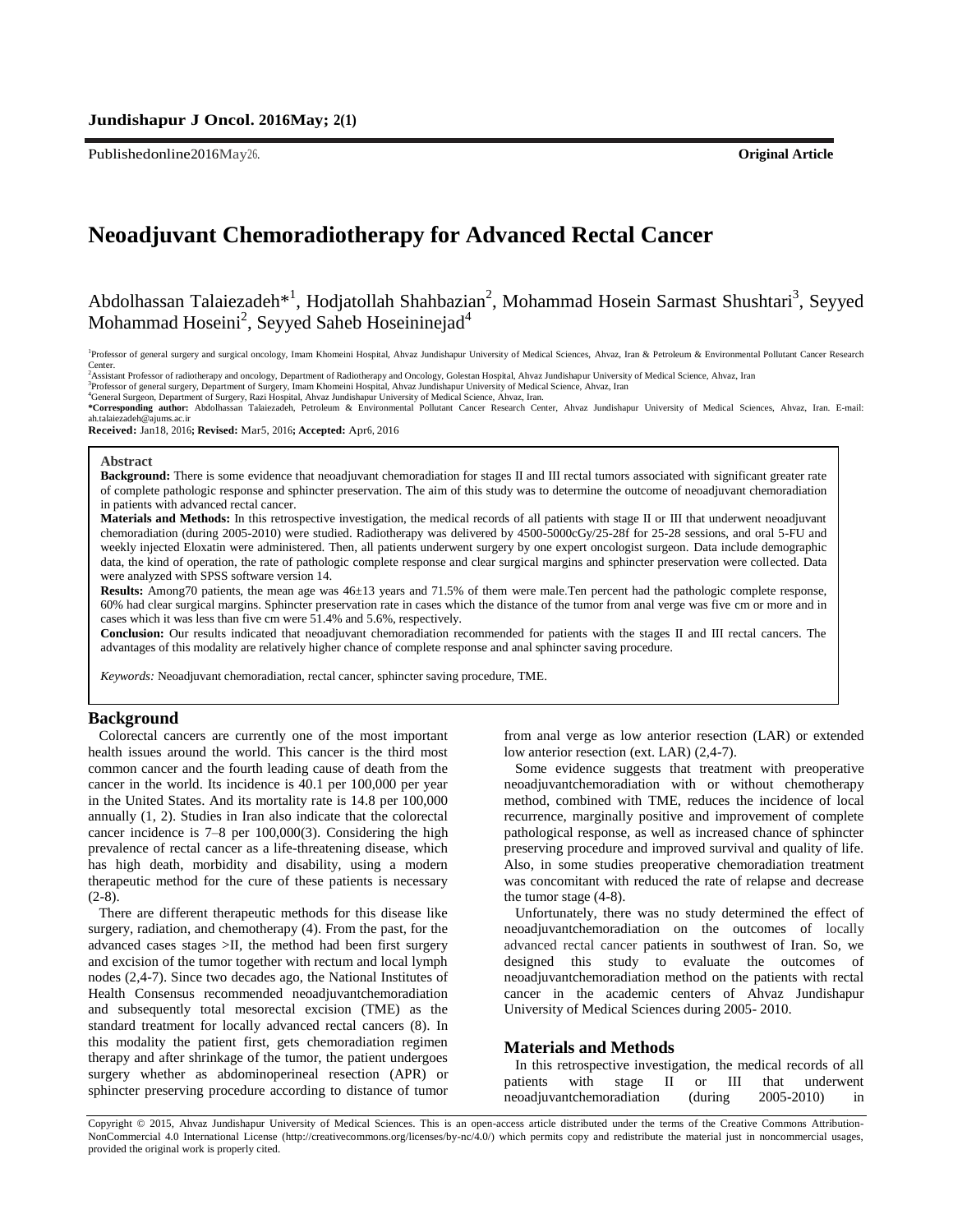Publishedonline2016May26. **Original Article**

# **Neoadjuvant Chemoradiotherapy for Advanced Rectal Cancer**

Abdolhassan Talaiezadeh<sup>\*1</sup>, Hodjatollah Shahbazian<sup>2</sup>, Mohammad Hosein Sarmast Shushtari<sup>3</sup>, Seyyed Mohammad Hoseini<sup>2</sup>, Seyyed Saheb Hoseininejad<sup>4</sup>

<sup>1</sup>Professor of general surgery and surgical oncology, Imam Khomeini Hospital, Ahvaz Jundishapur University of Medical Sciences, Ahvaz, Iran & Petroleum & Environmental Pollutant Cancer Research Center.

<sup>2</sup>Assistant Professor of radiotherapy and oncology, Department of Radiotherapy and Oncology, Golestan Hospital, Ahvaz Jundishapur University of Medical Science, Ahvaz, Iran<br><sup>2</sup>Professor of general surgery, Department of S ah.talaiezadeh@ajums.ac.ir

**Received:** Jan18, 2016**; Revised:** Mar5, 2016**; Accepted:** Apr6, 2016

#### **Abstract**

**Background:** There is some evidence that neoadjuvant chemoradiation for stages II and III rectal tumors associated with significant greater rate of complete pathologic response and sphincter preservation. The aim of this study was to determine the outcome of neoadjuvant chemoradiation in patients with advanced rectal cancer.

**Materials and Methods:** In this retrospective investigation, the medical records of all patients with stage II or III that underwent neoadjuvant chemoradiation (during 2005-2010) were studied. Radiotherapy was delivered by 4500-5000cGy/25-28f for 25-28 sessions, and oral 5-FU and weekly injected Eloxatin were administered. Then, all patients underwent surgery by one expert oncologist surgeon. Data include demographic data, the kind of operation, the rate of pathologic complete response and clear surgical margins and sphincter preservation were collected. Data were analyzed with SPSS software version 14.

**Results:** Among70 patients, the mean age was 46±13 years and 71.5% of them were male.Ten percent had the pathologic complete response, 60% had clear surgical margins. Sphincter preservation rate in cases which the distance of the tumor from anal verge was five cm or more and in cases which it was less than five cm were 51.4% and 5.6%, respectively.

**Conclusion:** Our results indicated that neoadjuvant chemoradiation recommended for patients with the stages II and III rectal cancers. The advantages of this modality are relatively higher chance of complete response and anal sphincter saving procedure.

*Keywords:* Neoadjuvant chemoradiation, rectal cancer, sphincter saving procedure, TME.

### **Background**

Colorectal cancers are currently one of the most important health issues around the world. This cancer is the third most common cancer and the fourth leading cause of death from the cancer in the world. Its incidence is 40.1 per 100,000 per year in the United States. And its mortality rate is 14.8 per 100,000 annually (1, 2). Studies in Iran also indicate that the colorectal cancer incidence is 7–8 per 100,000(3). Considering the high prevalence of rectal cancer as a life-threatening disease, which has high death, morbidity and disability, using a modern therapeutic method for the cure of these patients is necessary  $(2-8).$ 

There are different therapeutic methods for this disease like surgery, radiation, and chemotherapy (4). From the past, for the advanced cases stages >II, the method had been first surgery and excision of the tumor together with rectum and local lymph nodes (2,4-7). Since two decades ago, the National Institutes of Health Consensus recommended neoadjuvantchemoradiation and subsequently total mesorectal excision (TME) as the standard treatment for locally advanced rectal cancers (8). In this modality the patient first, gets chemoradiation regimen therapy and after shrinkage of the tumor, the patient undergoes surgery whether as abdominoperineal resection (APR) or sphincter preserving procedure according to distance of tumor from anal verge as low anterior resection (LAR) or extended low anterior resection (ext. LAR) (2,4-7).

Some evidence suggests that treatment with preoperative neoadjuvantchemoradiation with or without chemotherapy method, combined with TME, reduces the incidence of local recurrence, marginally positive and improvement of complete pathological response, as well as increased chance of sphincter preserving procedure and improved survival and quality of life. Also, in some studies preoperative chemoradiation treatment was concomitant with reduced the rate of relapse and decrease the tumor stage (4-8).

Unfortunately, there was no study determined the effect of neoadjuvantchemoradiation on the outcomes of locally advanced rectal cancer patients in southwest of Iran. So, we designed this study to evaluate the outcomes of neoadjuvantchemoradiation method on the patients with rectal cancer in the academic centers of Ahvaz Jundishapur University of Medical Sciences during 2005- 2010.

#### **Materials and Methods**

In this retrospective investigation, the medical records of all patients with stage II or III that underwent neoadjuvantchemoradiation (during 2005-2010)

Copyright © 2015, Ahvaz Jundishapur University of Medical Sciences. This is an open-access article distributed under the terms of the Creative Commons Attribution-NonCommercial 4.0 International License (http://creativecommons.org/licenses/by-nc/4.0/) which permits copy and redistribute the material just in noncommercial usages, provided the original work is properly cited.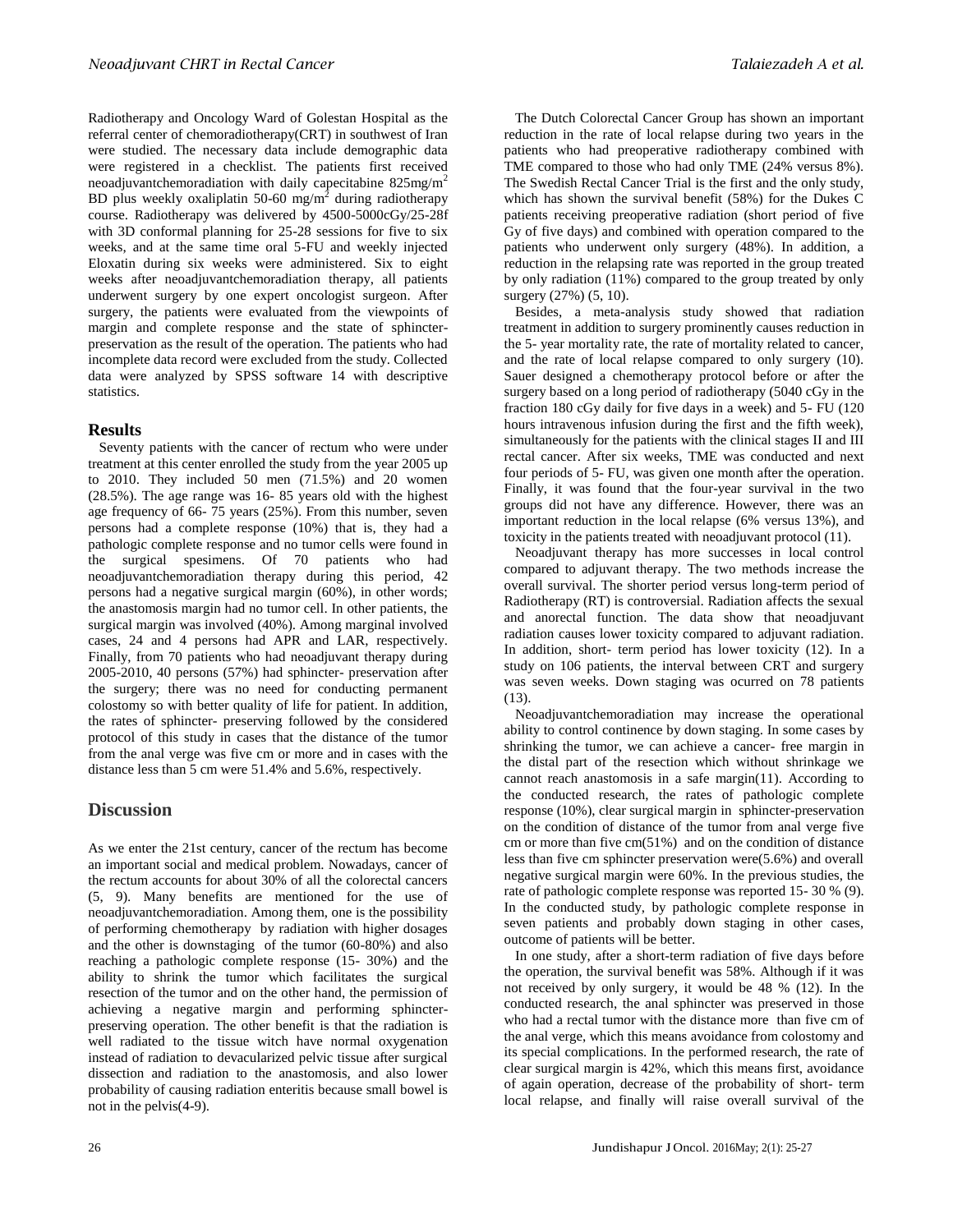Radiotherapy and Oncology Ward of Golestan Hospital as the referral center of chemoradiotherapy(CRT) in southwest of Iran were studied. The necessary data include demographic data were registered in a checklist. The patients first received neoadjuvantchemoradiation with daily capecitabine  $825mg/m^2$ BD plus weekly oxaliplatin 50-60 mg/m<sup>2</sup> during radiotherapy course. Radiotherapy was delivered by 4500-5000cGy/25-28f with 3D conformal planning for 25-28 sessions for five to six weeks, and at the same time oral 5-FU and weekly injected Eloxatin during six weeks were administered. Six to eight weeks after neoadjuvantchemoradiation therapy, all patients underwent surgery by one expert oncologist surgeon. After surgery, the patients were evaluated from the viewpoints of margin and complete response and the state of sphincterpreservation as the result of the operation. The patients who had incomplete data record were excluded from the study. Collected data were analyzed by SPSS software 14 with descriptive statistics.

## **Results**

Seventy patients with the cancer of rectum who were under treatment at this center enrolled the study from the year 2005 up to 2010. They included 50 men (71.5%) and 20 women (28.5%). The age range was 16- 85 years old with the highest age frequency of 66- 75 years (25%). From this number, seven persons had a complete response (10%) that is, they had a pathologic complete response and no tumor cells were found in the surgical spesimens. Of 70 patients who had neoadjuvantchemoradiation therapy during this period, 42 persons had a negative surgical margin (60%), in other words; the anastomosis margin had no tumor cell. In other patients, the surgical margin was involved (40%). Among marginal involved cases, 24 and 4 persons had APR and LAR, respectively. Finally, from 70 patients who had neoadjuvant therapy during 2005-2010, 40 persons (57%) had sphincter- preservation after the surgery; there was no need for conducting permanent colostomy so with better quality of life for patient. In addition, the rates of sphincter- preserving followed by the considered protocol of this study in cases that the distance of the tumor from the anal verge was five cm or more and in cases with the distance less than 5 cm were 51.4% and 5.6%, respectively.

## **Discussion**

As we enter the 21st century, cancer of the rectum has become an important social and medical problem. Nowadays, cancer of the rectum accounts for about 30% of all the colorectal cancers (5, 9). Many benefits are mentioned for the use of neoadjuvantchemoradiation. Among them, one is the possibility of performing chemotherapy by radiation with higher dosages and the other is downstaging of the tumor (60-80%) and also reaching a pathologic complete response (15- 30%) and the ability to shrink the tumor which facilitates the surgical resection of the tumor and on the other hand, the permission of achieving a negative margin and performing sphincterpreserving operation. The other benefit is that the radiation is well radiated to the tissue witch have normal oxygenation instead of radiation to devacularized pelvic tissue after surgical dissection and radiation to the anastomosis, and also lower probability of causing radiation enteritis because small bowel is not in the pelvis(4-9).

The Dutch Colorectal Cancer Group has shown an important reduction in the rate of local relapse during two years in the patients who had preoperative radiotherapy combined with TME compared to those who had only TME (24% versus 8%). The Swedish Rectal Cancer Trial is the first and the only study, which has shown the survival benefit (58%) for the Dukes C patients receiving preoperative radiation (short period of five Gy of five days) and combined with operation compared to the patients who underwent only surgery (48%). In addition, a reduction in the relapsing rate was reported in the group treated by only radiation (11%) compared to the group treated by only surgery (27%) (5, 10).

Besides, a meta-analysis study showed that radiation treatment in addition to surgery prominently causes reduction in the 5- year mortality rate, the rate of mortality related to cancer, and the rate of local relapse compared to only surgery (10). Sauer designed a chemotherapy protocol before or after the surgery based on a long period of radiotherapy (5040 cGy in the fraction 180 cGy daily for five days in a week) and 5- FU (120 hours intravenous infusion during the first and the fifth week), simultaneously for the patients with the clinical stages II and III rectal cancer. After six weeks, TME was conducted and next four periods of 5- FU, was given one month after the operation. Finally, it was found that the four-year survival in the two groups did not have any difference. However, there was an important reduction in the local relapse (6% versus 13%), and toxicity in the patients treated with neoadjuvant protocol (11).

Neoadjuvant therapy has more successes in local control compared to adjuvant therapy. The two methods increase the overall survival. The shorter period versus long-term period of Radiotherapy (RT) is controversial. Radiation affects the sexual and anorectal function. The data show that neoadjuvant radiation causes lower toxicity compared to adjuvant radiation. In addition, short- term period has lower toxicity (12). In a study on 106 patients, the interval between CRT and surgery was seven weeks. Down staging was ocurred on 78 patients  $(13)$ .

Neoadjuvantchemoradiation may increase the operational ability to control continence by down staging. In some cases by shrinking the tumor, we can achieve a cancer- free margin in the distal part of the resection which without shrinkage we cannot reach anastomosis in a safe margin(11). According to the conducted research, the rates of pathologic complete response (10%), clear surgical margin in sphincter-preservation on the condition of distance of the tumor from anal verge five cm or more than five cm(51%) and on the condition of distance less than five cm sphincter preservation were(5.6%) and overall negative surgical margin were 60%. In the previous studies, the rate of pathologic complete response was reported 15- 30 % (9). In the conducted study, by pathologic complete response in seven patients and probably down staging in other cases, outcome of patients will be better.

In one study, after a short-term radiation of five days before the operation, the survival benefit was 58%. Although if it was not received by only surgery, it would be 48 % (12). In the conducted research, the anal sphincter was preserved in those who had a rectal tumor with the distance more than five cm of the anal verge, which this means avoidance from colostomy and its special complications. In the performed research, the rate of clear surgical margin is 42%, which this means first, avoidance of again operation, decrease of the probability of short- term local relapse, and finally will raise overall survival of the